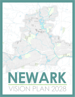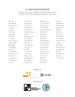# *ACKNOWLEDGEMENTS*

*Thank you to the many stakeholders who invested their time and expertise in the creation of this plan for the future of Newark.* 

| Ellie Akey         | Fred Ernest           | Mark Mauter            | Jack Pryor            |
|--------------------|-----------------------|------------------------|-----------------------|
| Mary Albright      | Duane Flowers         | Garry McAnally         | David Rhodes          |
| Nancy Anderson     | Carol Floyd           | Jerry McClain          | Jennifer Roberts      |
| Liz Argyle         | Shannon Gibson        | Scott McComb           | Denny Rogers          |
| Tom Atha           | Derek Good            | Jennifer McDonald      | Park Shai             |
| Steve Baum         | Andrew Guanciale      | Jeff McInturf          | Jack Stickle          |
| Jeremy Blake       | Jeff Hall             | Mike Menzer            | Nate Strum            |
| Ed Bohren          | Bob Handelman         | Doug Mill              | Deb Tegtmeyer         |
| Tim Bubb           | Connie Hawk           | Dan Moder              | Paul Thompson         |
| Bryan Campolo      | Sally Heckman         | Rob Montagnese         | David Trautman        |
| Mike Cantlin       | <b>Brandon Hess</b>   | Brian Morehead         | Doug Ute              |
| Phil Claggett      | Cheri Hottinger       | <b>Andrew Morrison</b> | Sarah Wallace         |
| Thad Claggett      | Dan Hunt              | Roney Murphy           | Adam Weinberg         |
| <b>Bonnie</b> Coe  | Pat Jeffries          | Jerry Newton           | Pattye Whisman        |
| Dan DeLawder       | Steve Layman          | Rev. Mike Noble        | Josh Wise             |
| Diane DeLawder     | Tim Lehman            | Robert O'Neill         | <b>Babette Wofter</b> |
| <b>Brent Dewey</b> | Roger Loomis          | Ann Peterson           | Jim Young             |
| Marcia Downes      | <b>Bill MacDonald</b> | Rick Platt             | Lee Zazworsky         |
| Don Ellington      | Joyce Malainy         | Kerri Postle           |                       |
| Ali Ernest         | Jim Matesich          | Doug Pricer            |                       |

PREPARED BY:



PREPARED FOR:



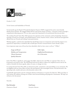

October 31, 2017

To the Citizens and Stakeholders of Newark,

Several months ago the Board of Newark Development Partners (NDP) recognized the need to more formally identify future priorities. We engaged OHM Advisors and Yaromir Steiner of Steiner + Associates to lead us through a comprehensive planning process. We owe them a great deal of gratitude for the professional direction provided.

The resulting Newark Vision Plan 2028 represents the aspirations of the community and local leadership. Numerous meetings occurred over 8 months, and included property owners, business owners, citizens, and elected and appointed officials from our Newark and Licking County governments.

Working together, a path has been identified that should help sustain our momentum and extend the progress we've experienced. Importantly, we should be able to build upon Newark's treasured historic charm already in place.

Seven important major areas of focus have been identified, which we have come to call our "7-Pillars":

| Image and Brand             | Public Safety               |  |
|-----------------------------|-----------------------------|--|
| Mobility and Transportation | Neighborhood Revitalization |  |
| <i>Vibrant Downtown</i>     | Arts & Recreation           |  |
| Quality Education           |                             |  |

Each of the Pillars is significant, and in pages that follow, objectives for each Pillar are captured. Only a few can be pursued at any point in time. The NDP Board will soon be asked to endorse the completed exercise and use the results to formalize the future agenda, subject of course, to change over time.

In creating Newark Vision Plan 2028, we demonstrate pride, commitment, and responsibility to our community. We are delighted with the serious efforts of those who participated in this meaningful exercise. We look forward to the upcoming weeks, months and years as this document comes to life.

Considerable opportunities exist for continued volunteer involvement as we pursue the objectives. With your help, we will continue the tradition of being one of Ohio's most forward-thinking and progressive communities. We hope you will join us for the journey!

Sincerely,

**Dan DeLawder Fred Ernest** Chairman of Board Executive Director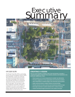# **OCTOBER 2017** *Executive Summary*



## **OVERVIEW**

The Newark Vision Plan 2028 is a partnership between Newark Development Partners (NDP), local stakeholders, and the City of Newark. This plan has been holistically informed by the intuitive knowledge of the community, and technically informed by an examination of physical, economic, and social trends of the city and region. The end result is a plan that is calibrated to the pulse of Newark. It is designed to be used as a tool to guide and inform the community and local leaders in making collective decisions that work toward a common future over the next ten years.

## **CREATING A VISION**

There are many benefits to creating a vision. First and foremost, it provides a comprehensive guide to help drive future policies, practices, and investments in the community. Additionally a vision:

- Breaks people out of current perspectives to consider new alternatives
- Promotes engagement of local organizations and community members
- Alerts stakeholders to needed change in the community and its policies
- Builds continuity between multiple initiatives and partnerships
- Provides direction for where and how local investments should be made
- Encourages openness to creative solutions from a variety of sources
- Creates ownership through involvement in the creation of the plan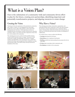# What is a Vision Plan?

Ours is the culmination of a community-wide and community-driven effort to plan for the future, creating new partnerships, identifying important and potentially transformative projects, and aligning resources to create change.

# Creating the Vision

Visioning involves the examination of the potential of a community, place, region, or district. It is an engaging process that brings people from various walks of life together to discuss their ideas and aspirations for the future. These aspirations can focus on anything from the environment, economy, infrastructure, education, recreation, culture, or any other issue that is important to those who live, work, and play in the community.

The visioning process uses a variety of tools to build consensus around a desired outcome, future, or image. The process is built extensively on public and stakeholder involvement. It engages residents and stakeholders in fun and dynamic ways to share their visions for the future, and strategize how they would like to see that future become reality. The results of these exercises become the foundation of the vision.

# Why Have a Vision?

The visioning process helps communities, organizations, and individuals identify what is important to them, their ideas and plans for the future, and more importantly, how to make those ideas a reality. Visioning helps communities identify and reach goals that are otherwise not discussed and ensure they are built on a foundation of collaboration.

It is critical to have a vision to achieve the following:

- » **Creating** shared goals for the future;
- » **Identifying** ways to implement shared goals;
- » **Building** goodwill and understanding between groups that rely on each other;

HAT IS YOUR FAVORITE THING ARE<br>Sould life of the state party and the THING ARE

- » **Giving** people ownership in their community; and,
- » **Developing** new leaders in the community.



WEARNESSESH N





Plus Priorities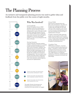# The Planning Process

An inclusive and transparent planning process was used to gather ideas and feedback from the public over the course of eight months.



## Who Was Involved?

#### *Local Leadership*

Newark Development Partners (NDP) identified a need in the community for a long term vision for the future and have championed the creation of this plan to fulfill that need. Along with assistance from the City of Newark, NDP was key in gathering many of the community's best and brightest stakeholders to convene and strategize together to create a ten year blueprint for the future of Newark.

#### *Steering Committee*

*This graphic illustrates the planning process showing the general timeline and how the community and steering committee were engaged.*

THE SUBGROUPS (SG)

TASKS FOCUSED ON ENGAGING THE ENTIRE COMMUNITY (PM)

TASKS FOCUSED ON ENGAGING THE STEERING COMMITTEE (SC)

TASKS FOCUSED ON ENGAGING

A group of Newark community members, residents, and business people were assembled to guide and inform the planning process. They served as developers, champions, and ultimately long-term stewards of the plan. Midway through the planning process, the group was encouraged to identify areas of the plan they would be most interested in developing further. They were asked to meet outside of the larger group in subgroups to discuss those key areas in more detail and create vision statements, pointed objectives and actions for implementation.

#### *General Public*

Input from the community drives the plan's vision and initiatives. The public was invited to two community meetings, one to gather ideas and insight into the needs and wants of the community, and a second to test the outcome of the planning process and create excitement for the next steps in implementation of the plan.

If unable to attend these public gatherings, people were encouraged to visit the project website, which was used to host a community survey, a virtual version of the public meeting activities, and disseminate information throughout the planning process.

#### *Consultant Team*

OHM Advisors and Steiner + Associates were retained to guide the planning process. Steiner + Associates is a renown real estate development firm that has been creating innovative mixed-use developments since 1993. OHM Advisors is an integrated engineering, architecture, and planning firm specializing in community involvement and urban design.



7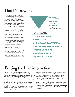# Plan Framework

The Plan has been designed to be concise and actionable, with much of the supporting materials located in the Appendix. The Plan has been organized around seven key themes, or pillars, shown right. Each of these key themes has survey results, research, and existing conditions data associated with it and available in the Appendix for further review.

Throughout the planning process, the steering committee and subgroups met and discussed the various themes, strategizing the long-term goals as well as the immediate next steps needed to achieve measurable success. The work of these groups was then augmented with further recommendations, examples, and case studies by the planning team to create this Plan.

As a key part of the planning process, each of the groups crafted a vision statement to encapsulate the long-term goals of the pillar. Participants were then asked to sign a pledge indicating their commitment to this vision statement and the success of the group.

The vision statement was used to guide the development of various objectives, or long-term goals, and the incremental action steps needed for implementation. Supporting material was provided in the form of background history of an initiative, regional case studies and examples from which to model implementation, and recommendations based on present and future trends in planning and urban development.

**PILLARS OBJECTIVES**

Overarching themes

Long-term goals

**ACTIONS** Strategic steps for incremental implementation

# **PLAN PILLARS**

- **1. IMAGE AND BRAND**
- **2. PUBLIC SAFETY**
- **3. MOBILITY AND TRANSPORTATION**
- **4. NEIGHBORHOOD REVITALIZATION**
- **5. VIBRANT DOWNTOWN**
- **6. ARTS & RECREATION**
- **7. QUALITY EDUCATION**

# Putting the Plan into Action

This plan is meant to serve as a working document to guide community stakeholders in actionable next steps to create local change. The implementation of the plan should be guided by an action committee: a committee of local leaders and community members committed to improving the quality of life in Newark.

The action committee may be made up of members from the project steering committee, and associated subgroups, but is encouraged to include additional stakeholders from the community as needed. It is recommended that the individual committees begin working on the priority objective promptly and meet quarterly to discuss implementation tactics. The larger action plan committee of seven subgroups is recommended to meet as a whole annually or semiannually to report on progress, challenges, setbacks, and potential

shifts in the implementation process. As noted, each priority objective is to be completed first. As tasks are completed, the groups are encouraged to continue their work and begin implementing the subsequent objectives and actions, as found in the Appendix.

It is intended that the action plan committee act as representatives and stewards of the plan, creating connections to interested parties and achieving success through their day-to-day work. NDP should continue to serve as the overall conductor of the process, organizing the action plan committee, and the annual or semi-annual meetings.

**A member of the NDP Board of Directors will be responsible for monitoring each of the subgroups as the chair of the action plan committee.**